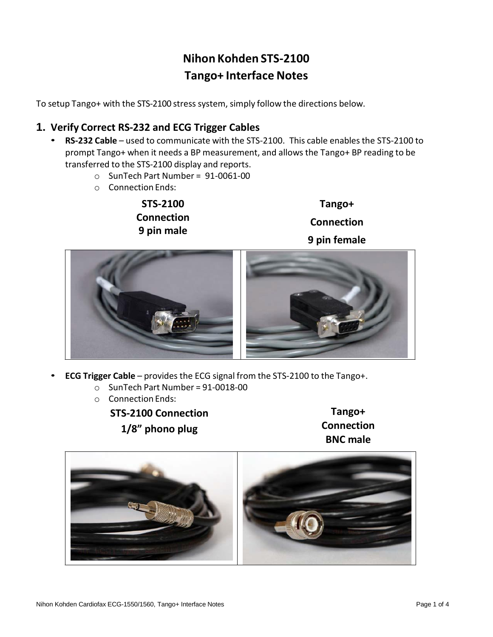# **Nihon Kohden STS-2100 Tango+ Interface Notes**

To setup Tango+ with the STS-2100 stress system, simply follow the directions below.

# **1. Verify Correct RS-232 and ECG Trigger Cables**

- **RS-232 Cable** used to communicate with the STS-2100. This cable enables the STS-2100 to prompt Tango+ when it needs a BP measurement, and allows the Tango+ BP reading to be transferred to the STS-2100 display and reports.
	- o SunTech Part Number = 91-0061-00
	- o Connection Ends:

**STS-2100 Connection 9 pin male**

**Tango+ Connection 9 pin female**



- **ECG Trigger Cable** provides the ECG signal from the STS-2100 to the Tango+.
	- $\circ$  SunTech Part Number = 91-0018-00
	- o Connection Ends:

**STS-2100 Connection 1/8" phono plug**

**Tango+ Connection BNC male**

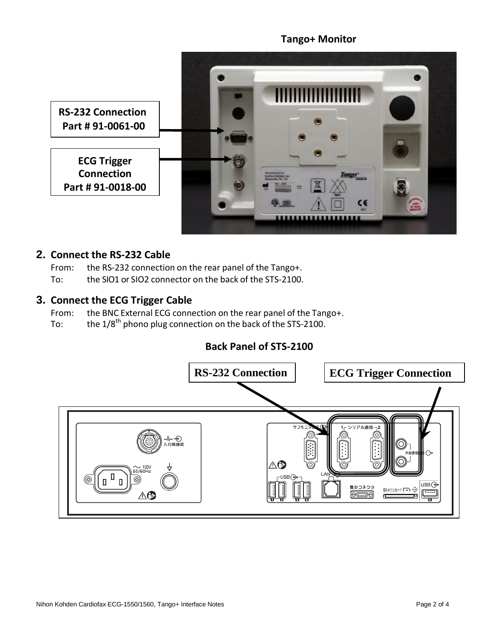### **Tango+ Monitor**



# **2. Connect the RS-232 Cable**

From: the RS-232 connection on the rear panel of the Tango+.

To: the SIO1 or SIO2 connector on the back of the STS-2100.

#### **3. Connect the ECG Trigger Cable**

From: the BNC External ECG connection on the rear panel of the Tango+.

To: the  $1/8^{\text{th}}$  phono plug connection on the back of the STS-2100.

# **Back Panel of STS-2100**

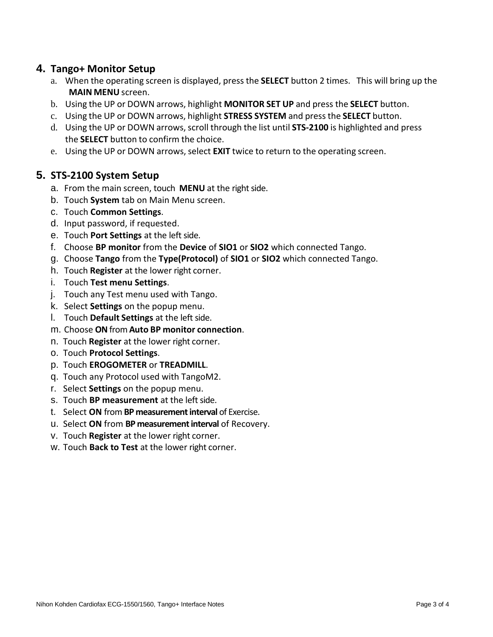## **4. Tango+ Monitor Setup**

- a. When the operating screen is displayed, press the **SELECT** button 2 times. This will bring up the **MAIN MENU** screen.
- b. Using the UP or DOWN arrows, highlight **MONITOR SET UP** and press the **SELECT** button.
- c. Using the UP or DOWN arrows, highlight **STRESS SYSTEM** and pressthe **SELECT** button.
- d. Using the UP or DOWN arrows, scroll through the list until **STS-2100** is highlighted and press the **SELECT** button to confirm the choice.
- e. Using the UP or DOWN arrows, select **EXIT** twice to return to the operating screen.

# **5. STS-2100 System Setup**

- a. From the main screen, touch **MENU** at the right side.
- b. Touch **System** tab on Main Menu screen.
- c. Touch **Common Settings**.
- d. Input password, if requested.
- e. Touch **Port Settings** at the left side.
- f. Choose **BP monitor** from the **Device** of **SIO1** or **SIO2** which connected Tango.
- g. Choose **Tango** from the **Type(Protocol)** of **SIO1** or **SIO2** which connected Tango.
- h. Touch **Register** at the lower right corner.
- i. Touch **Test menu Settings**.
- j. Touch any Test menu used with Tango.
- k. Select **Settings** on the popup menu.
- l. Touch **Default Settings** at the left side.
- m. Choose **ON**from **Auto BP monitor connection**.
- n. Touch **Register** at the lower right corner.
- o. Touch **Protocol Settings**.
- p. Touch **EROGOMETER** or **TREADMILL**.
- q. Touch any Protocol used with TangoM2.
- r. Select **Settings** on the popup menu.
- s. Touch **BP measurement** at the left side.
- t. Select **ON** from **BP measurement interval** of Exercise.
- u. Select **ON** from **BP measurement interval** of Recovery.
- v. Touch **Register** at the lower right corner.
- w. Touch **Back to Test** at the lower right corner.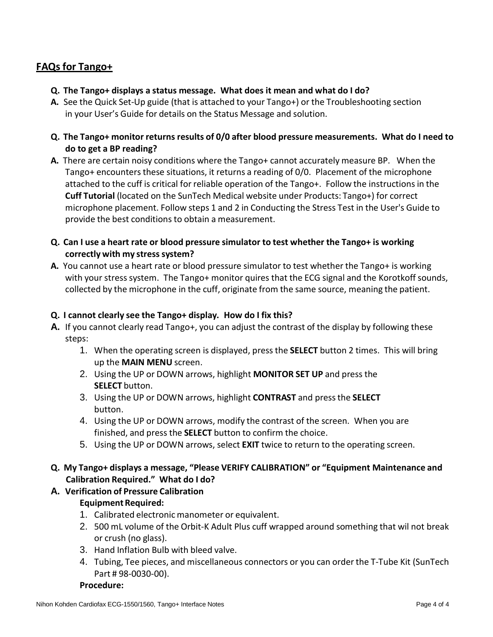## **FAQsfor Tango+**

- **Q. The Tango+ displays a status message. What does it mean and what do I do?**
- **A.** See the Quick Set-Up guide (that is attached to your Tango+) or the Troubleshooting section in your User's Guide for details on the Status Message and solution.
- **Q. The Tango+ monitor returns results of 0/0 after blood pressure measurements. What do I need to do to get a BP reading?**
- **A.** There are certain noisy conditions where the Tango+ cannot accurately measure BP. When the Tango+ encounters these situations, it returns a reading of 0/0. Placement of the microphone attached to the cuff is critical for reliable operation of the Tango+. Follow the instructionsin the **Cuff Tutorial** (located on the SunTech Medical website under Products: Tango+) for correct microphone placement. Follow steps 1 and 2 in Conducting the Stress Test in the User's Guide to provide the best conditions to obtain a measurement.
- **Q. Can I use a heart rate or blood pressure simulator to test whether the Tango+ is working correctly with my stresssystem?**
- **A.** You cannot use a heart rate or blood pressure simulator to test whether the Tango+ is working with your stress system. The Tango+ monitor quires that the ECG signal and the Korotkoff sounds, collected by the microphone in the cuff, originate from the same source, meaning the patient.

#### **Q. I cannot clearly see the Tango+ display. How do I fix this?**

- **A.** If you cannot clearly read Tango+, you can adjust the contrast of the display by following these steps:
	- 1. When the operating screen is displayed, press the **SELECT** button 2 times. This will bring up the **MAIN MENU** screen.
	- 2. Using the UP or DOWN arrows, highlight **MONITOR SET UP** and press the **SELECT** button.
	- 3. Using the UP or DOWN arrows, highlight **CONTRAST** and pressthe **SELECT** button.
	- 4. Using the UP or DOWN arrows, modify the contrast of the screen. When you are finished, and press the **SELECT** button to confirm the choice.
	- 5. Using the UP or DOWN arrows, select **EXIT** twice to return to the operating screen.
- **Q. My Tango+ displays a message, "Please VERIFY CALIBRATION" or "Equipment Maintenance and Calibration Required." What do I do?**
- **A. Verification of Pressure Calibration**

#### **Equipment Required:**

- 1. Calibrated electronic manometer or equivalent.
- 2. 500 mL volume of the Orbit-K Adult Plus cuff wrapped around something that wil not break or crush (no glass).
- 3. Hand Inflation Bulb with bleed valve.
- 4. Tubing, Tee pieces, and miscellaneous connectors or you can order the T-Tube Kit (SunTech Part # 98-0030-00).

#### **Procedure:**